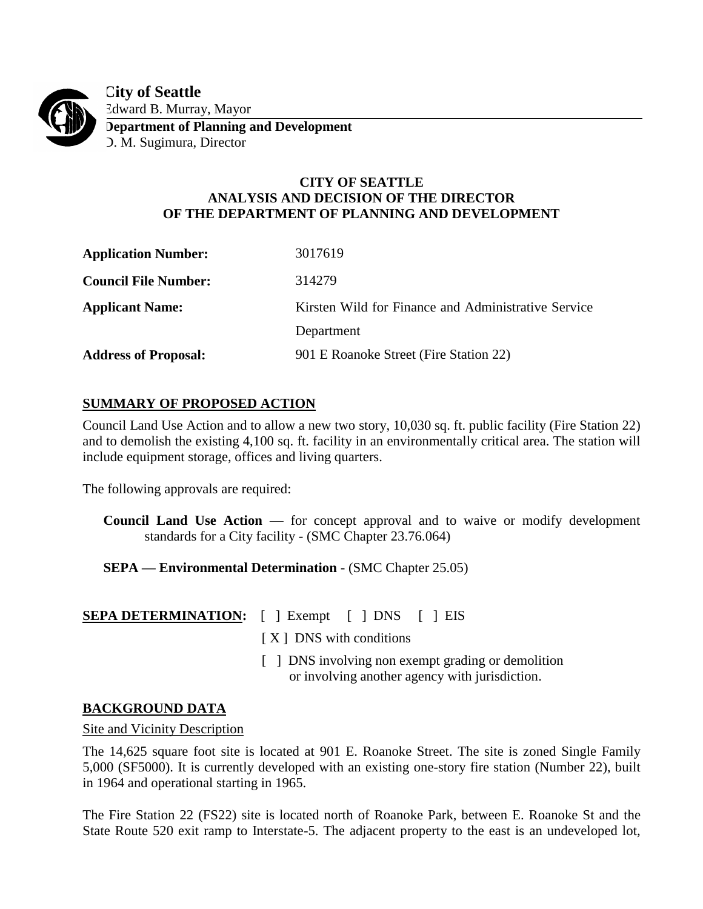

**City of Seattle** Edward B. Murray, Mayor **Department of Planning and Development**

D. M. Sugimura, Director

## **CITY OF SEATTLE ANALYSIS AND DECISION OF THE DIRECTOR OF THE DEPARTMENT OF PLANNING AND DEVELOPMENT**

| <b>Application Number:</b>  | 3017619                                             |
|-----------------------------|-----------------------------------------------------|
| <b>Council File Number:</b> | 314279                                              |
| <b>Applicant Name:</b>      | Kirsten Wild for Finance and Administrative Service |
|                             | Department                                          |
| <b>Address of Proposal:</b> | 901 E Roanoke Street (Fire Station 22)              |

# **SUMMARY OF PROPOSED ACTION**

Council Land Use Action and to allow a new two story, 10,030 sq. ft. public facility (Fire Station 22) and to demolish the existing 4,100 sq. ft. facility in an environmentally critical area. The station will include equipment storage, offices and living quarters.

The following approvals are required:

- **Council Land Use Action** for concept approval and to waive or modify development standards for a City facility - (SMC Chapter 23.76.064)
- **SEPA — Environmental Determination** (SMC Chapter 25.05)

 $\lceil$   $\lceil$  Exempt  $\lceil$   $\rceil$  DNS  $\lceil$   $\rceil$  EIS

[X] DNS with conditions

[ ] DNS involving non exempt grading or demolition or involving another agency with jurisdiction.

## **BACKGROUND DATA**

### Site and Vicinity Description

The 14,625 square foot site is located at 901 E. Roanoke Street. The site is zoned Single Family 5,000 (SF5000). It is currently developed with an existing one-story fire station (Number 22), built in 1964 and operational starting in 1965.

The Fire Station 22 (FS22) site is located north of Roanoke Park, between E. Roanoke St and the State Route 520 exit ramp to Interstate-5. The adjacent property to the east is an undeveloped lot,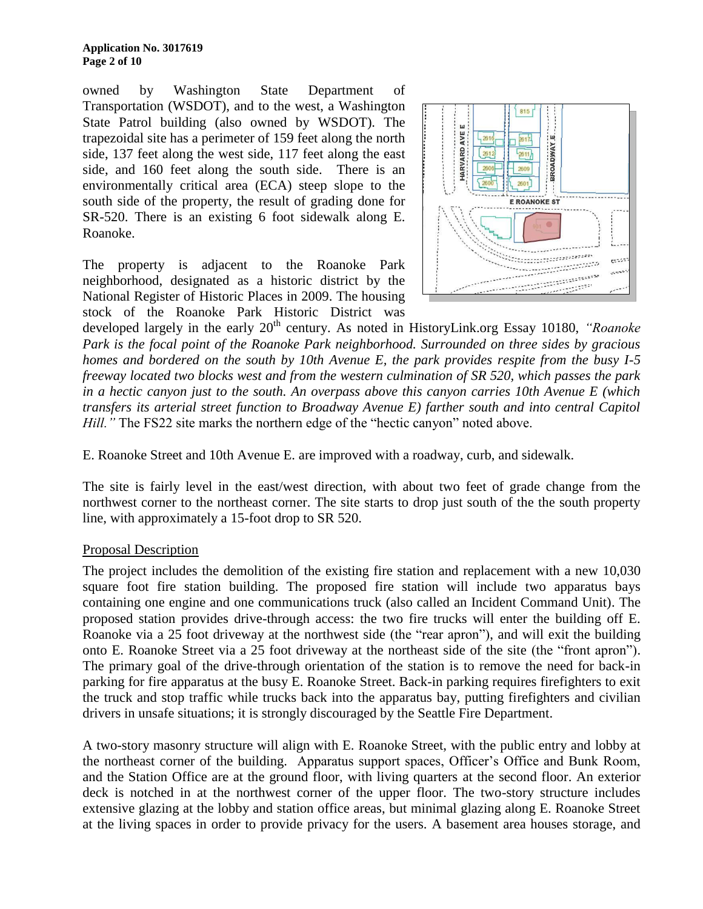owned by Washington State Department of Transportation (WSDOT), and to the west, a Washington State Patrol building (also owned by WSDOT). The trapezoidal site has a perimeter of 159 feet along the north side, 137 feet along the west side, 117 feet along the east side, and 160 feet along the south side. There is an environmentally critical area (ECA) steep slope to the south side of the property, the result of grading done for SR-520. There is an existing 6 foot sidewalk along E. Roanoke.

The property is adjacent to the Roanoke Park neighborhood, designated as a historic district by the National Register of Historic Places in 2009. The housing stock of the Roanoke Park Historic District was



developed largely in the early 20<sup>th</sup> century. As noted in HistoryLink.org Essay 10180, *"Roanoke Park is the focal point of the Roanoke Park neighborhood. Surrounded on three sides by gracious homes and bordered on the south by 10th Avenue E, the park provides respite from the busy I-5 freeway located two blocks west and from the western culmination of SR 520, which passes the park in a hectic canyon just to the south. An overpass above this canyon carries 10th Avenue E (which transfers its arterial street function to Broadway Avenue E) farther south and into central Capitol Hill.*" The FS22 site marks the northern edge of the "hectic canyon" noted above.

E. Roanoke Street and 10th Avenue E. are improved with a roadway, curb, and sidewalk.

The site is fairly level in the east/west direction, with about two feet of grade change from the northwest corner to the northeast corner. The site starts to drop just south of the the south property line, with approximately a 15-foot drop to SR 520.

### Proposal Description

The project includes the demolition of the existing fire station and replacement with a new 10,030 square foot fire station building. The proposed fire station will include two apparatus bays containing one engine and one communications truck (also called an Incident Command Unit). The proposed station provides drive-through access: the two fire trucks will enter the building off E. Roanoke via a 25 foot driveway at the northwest side (the "rear apron"), and will exit the building onto E. Roanoke Street via a 25 foot driveway at the northeast side of the site (the "front apron"). The primary goal of the drive-through orientation of the station is to remove the need for back-in parking for fire apparatus at the busy E. Roanoke Street. Back-in parking requires firefighters to exit the truck and stop traffic while trucks back into the apparatus bay, putting firefighters and civilian drivers in unsafe situations; it is strongly discouraged by the Seattle Fire Department.

A two-story masonry structure will align with E. Roanoke Street, with the public entry and lobby at the northeast corner of the building. Apparatus support spaces, Officer's Office and Bunk Room, and the Station Office are at the ground floor, with living quarters at the second floor. An exterior deck is notched in at the northwest corner of the upper floor. The two-story structure includes extensive glazing at the lobby and station office areas, but minimal glazing along E. Roanoke Street at the living spaces in order to provide privacy for the users. A basement area houses storage, and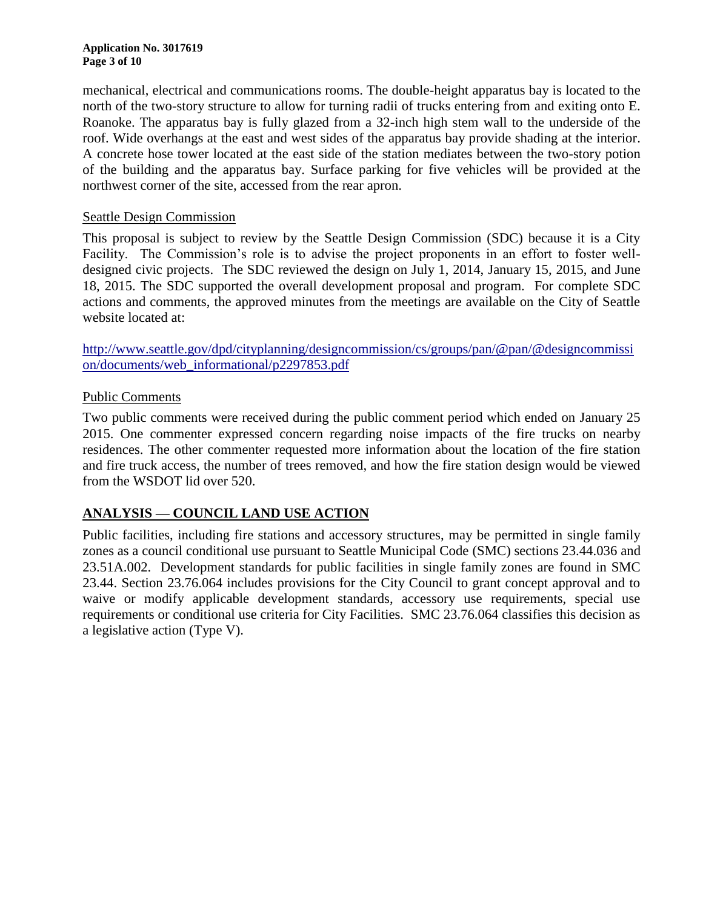mechanical, electrical and communications rooms. The double-height apparatus bay is located to the north of the two-story structure to allow for turning radii of trucks entering from and exiting onto E. Roanoke. The apparatus bay is fully glazed from a 32-inch high stem wall to the underside of the roof. Wide overhangs at the east and west sides of the apparatus bay provide shading at the interior. A concrete hose tower located at the east side of the station mediates between the two-story potion of the building and the apparatus bay. Surface parking for five vehicles will be provided at the northwest corner of the site, accessed from the rear apron.

### Seattle Design Commission

This proposal is subject to review by the Seattle Design Commission (SDC) because it is a City Facility. The Commission's role is to advise the project proponents in an effort to foster welldesigned civic projects. The SDC reviewed the design on July 1, 2014, January 15, 2015, and June 18, 2015. The SDC supported the overall development proposal and program. For complete SDC actions and comments, the approved minutes from the meetings are available on the City of Seattle website located at:

[http://www.seattle.gov/dpd/cityplanning/designcommission/cs/groups/pan/@pan/@designcommissi](http://www.seattle.gov/dpd/cityplanning/designcommission/cs/groups/pan/@pan/@designcommission/documents/web_informational/p2297853.pdf) [on/documents/web\\_informational/p2297853.pdf](http://www.seattle.gov/dpd/cityplanning/designcommission/cs/groups/pan/@pan/@designcommission/documents/web_informational/p2297853.pdf)

### Public Comments

Two public comments were received during the public comment period which ended on January 25 2015. One commenter expressed concern regarding noise impacts of the fire trucks on nearby residences. The other commenter requested more information about the location of the fire station and fire truck access, the number of trees removed, and how the fire station design would be viewed from the WSDOT lid over 520.

## **ANALYSIS — COUNCIL LAND USE ACTION**

Public facilities, including fire stations and accessory structures, may be permitted in single family zones as a council conditional use pursuant to Seattle Municipal Code (SMC) sections 23.44.036 and 23.51A.002. Development standards for public facilities in single family zones are found in SMC 23.44. Section 23.76.064 includes provisions for the City Council to grant concept approval and to waive or modify applicable development standards, accessory use requirements, special use requirements or conditional use criteria for City Facilities. SMC 23.76.064 classifies this decision as a legislative action (Type V).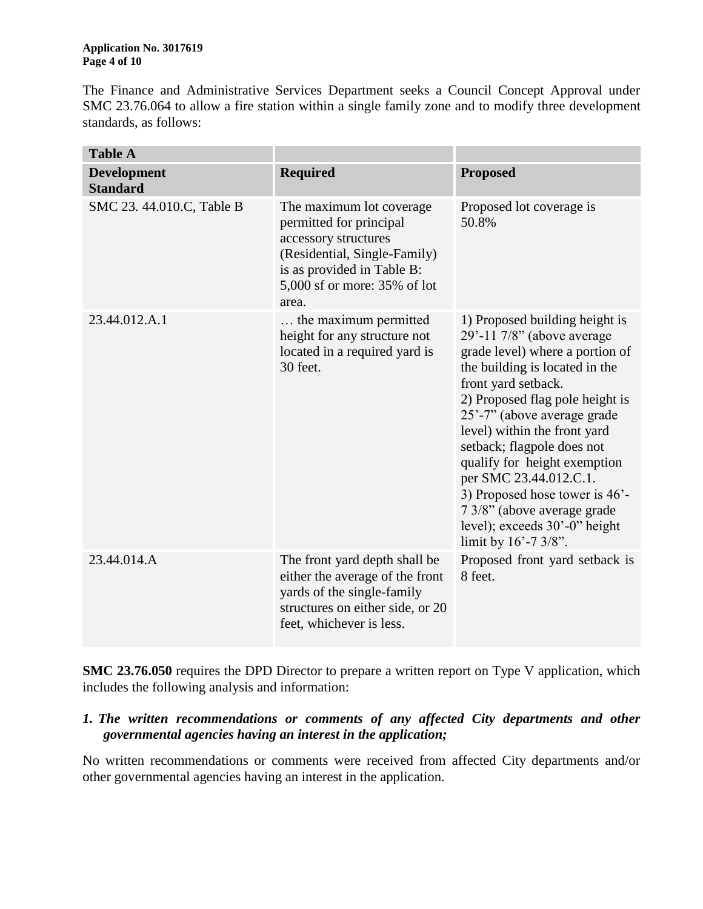The Finance and Administrative Services Department seeks a Council Concept Approval under SMC 23.76.064 to allow a fire station within a single family zone and to modify three development standards, as follows:

| <b>Table A</b>                        |                                                                                                                                                                                     |                                                                                                                                                                                                                                                                                                                                                                                                                                                                                 |
|---------------------------------------|-------------------------------------------------------------------------------------------------------------------------------------------------------------------------------------|---------------------------------------------------------------------------------------------------------------------------------------------------------------------------------------------------------------------------------------------------------------------------------------------------------------------------------------------------------------------------------------------------------------------------------------------------------------------------------|
| <b>Development</b><br><b>Standard</b> | <b>Required</b>                                                                                                                                                                     | <b>Proposed</b>                                                                                                                                                                                                                                                                                                                                                                                                                                                                 |
| SMC 23. 44.010.C, Table B             | The maximum lot coverage.<br>permitted for principal<br>accessory structures<br>(Residential, Single-Family)<br>is as provided in Table B:<br>5,000 sf or more: 35% of lot<br>area. | Proposed lot coverage is<br>50.8%                                                                                                                                                                                                                                                                                                                                                                                                                                               |
| 23.44.012.A.1                         | the maximum permitted<br>height for any structure not<br>located in a required yard is<br>30 feet.                                                                                  | 1) Proposed building height is<br>$29'$ -11 7/8" (above average<br>grade level) where a portion of<br>the building is located in the<br>front yard setback.<br>2) Proposed flag pole height is<br>25'-7" (above average grade<br>level) within the front yard<br>setback; flagpole does not<br>qualify for height exemption<br>per SMC 23.44.012.C.1.<br>3) Proposed hose tower is 46'-<br>7 3/8" (above average grade<br>level); exceeds 30'-0" height<br>limit by 16'-7 3/8". |
| 23.44.014.A                           | The front yard depth shall be<br>either the average of the front<br>yards of the single-family<br>structures on either side, or 20<br>feet, whichever is less.                      | Proposed front yard setback is<br>8 feet.                                                                                                                                                                                                                                                                                                                                                                                                                                       |

**SMC 23.76.050** requires the DPD Director to prepare a written report on Type V application, which includes the following analysis and information:

## *1. The written recommendations or comments of any affected City departments and other governmental agencies having an interest in the application;*

No written recommendations or comments were received from affected City departments and/or other governmental agencies having an interest in the application.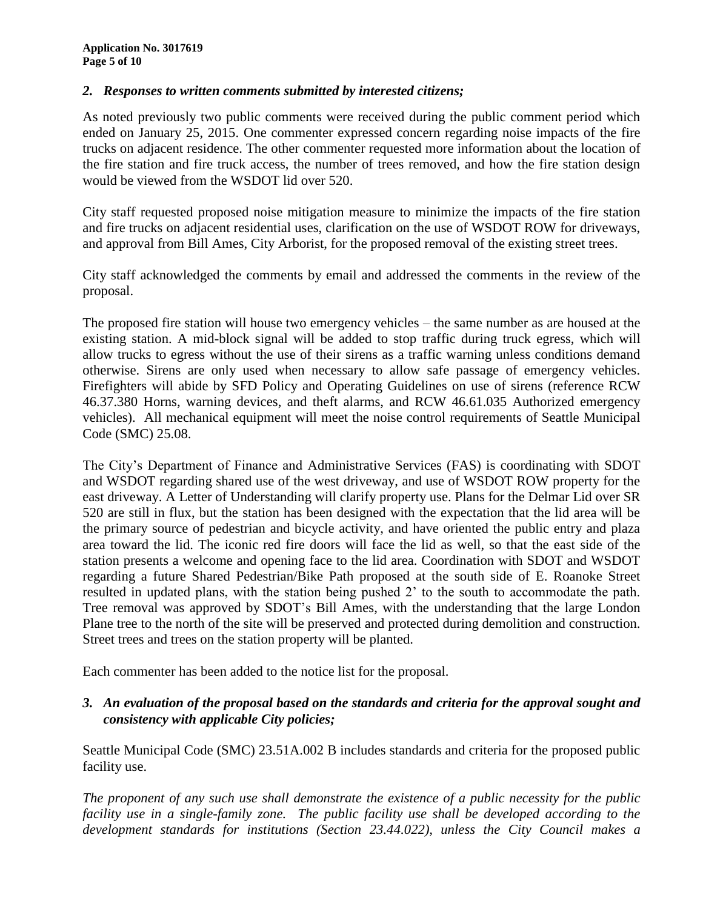### *2. Responses to written comments submitted by interested citizens;*

As noted previously two public comments were received during the public comment period which ended on January 25, 2015. One commenter expressed concern regarding noise impacts of the fire trucks on adjacent residence. The other commenter requested more information about the location of the fire station and fire truck access, the number of trees removed, and how the fire station design would be viewed from the WSDOT lid over 520.

City staff requested proposed noise mitigation measure to minimize the impacts of the fire station and fire trucks on adjacent residential uses, clarification on the use of WSDOT ROW for driveways, and approval from Bill Ames, City Arborist, for the proposed removal of the existing street trees.

City staff acknowledged the comments by email and addressed the comments in the review of the proposal.

The proposed fire station will house two emergency vehicles – the same number as are housed at the existing station. A mid-block signal will be added to stop traffic during truck egress, which will allow trucks to egress without the use of their sirens as a traffic warning unless conditions demand otherwise. Sirens are only used when necessary to allow safe passage of emergency vehicles. Firefighters will abide by SFD Policy and Operating Guidelines on use of sirens (reference RCW 46.37.380 Horns, warning devices, and theft alarms, and RCW 46.61.035 Authorized emergency vehicles). All mechanical equipment will meet the noise control requirements of Seattle Municipal Code (SMC) 25.08.

The City's Department of Finance and Administrative Services (FAS) is coordinating with SDOT and WSDOT regarding shared use of the west driveway, and use of WSDOT ROW property for the east driveway. A Letter of Understanding will clarify property use. Plans for the Delmar Lid over SR 520 are still in flux, but the station has been designed with the expectation that the lid area will be the primary source of pedestrian and bicycle activity, and have oriented the public entry and plaza area toward the lid. The iconic red fire doors will face the lid as well, so that the east side of the station presents a welcome and opening face to the lid area. Coordination with SDOT and WSDOT regarding a future Shared Pedestrian/Bike Path proposed at the south side of E. Roanoke Street resulted in updated plans, with the station being pushed 2' to the south to accommodate the path. Tree removal was approved by SDOT's Bill Ames, with the understanding that the large London Plane tree to the north of the site will be preserved and protected during demolition and construction. Street trees and trees on the station property will be planted.

Each commenter has been added to the notice list for the proposal.

## *3. An evaluation of the proposal based on the standards and criteria for the approval sought and consistency with applicable City policies;*

Seattle Municipal Code (SMC) 23.51A.002 B includes standards and criteria for the proposed public facility use.

*The proponent of any such use shall demonstrate the existence of a public necessity for the public facility use in a single-family zone. The public facility use shall be developed according to the development standards for institutions (Section 23.44.022), unless the City Council makes a*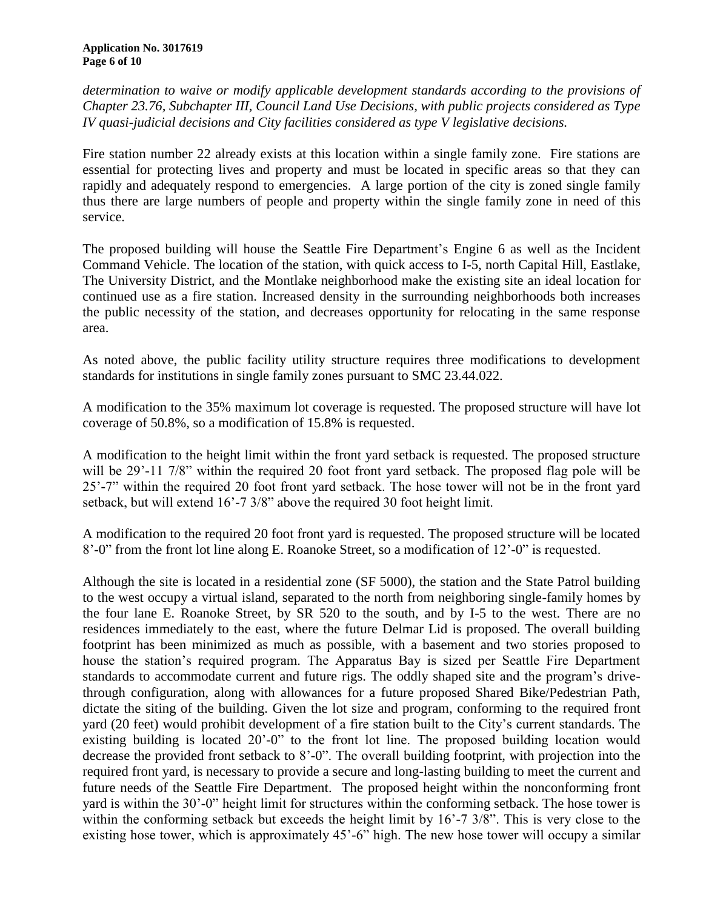*determination to waive or modify applicable development standards according to the provisions of Chapter 23.76, Subchapter III, Council Land Use Decisions, with public projects considered as Type IV quasi-judicial decisions and City facilities considered as type V legislative decisions.*

Fire station number 22 already exists at this location within a single family zone. Fire stations are essential for protecting lives and property and must be located in specific areas so that they can rapidly and adequately respond to emergencies. A large portion of the city is zoned single family thus there are large numbers of people and property within the single family zone in need of this service.

The proposed building will house the Seattle Fire Department's Engine 6 as well as the Incident Command Vehicle. The location of the station, with quick access to I-5, north Capital Hill, Eastlake, The University District, and the Montlake neighborhood make the existing site an ideal location for continued use as a fire station. Increased density in the surrounding neighborhoods both increases the public necessity of the station, and decreases opportunity for relocating in the same response area.

As noted above, the public facility utility structure requires three modifications to development standards for institutions in single family zones pursuant to SMC 23.44.022.

A modification to the 35% maximum lot coverage is requested. The proposed structure will have lot coverage of 50.8%, so a modification of 15.8% is requested.

A modification to the height limit within the front yard setback is requested. The proposed structure will be 29'-11 7/8" within the required 20 foot front yard setback. The proposed flag pole will be 25'-7" within the required 20 foot front yard setback. The hose tower will not be in the front yard setback, but will extend 16'-7 3/8" above the required 30 foot height limit.

A modification to the required 20 foot front yard is requested. The proposed structure will be located 8'-0" from the front lot line along E. Roanoke Street, so a modification of 12'-0" is requested.

Although the site is located in a residential zone (SF 5000), the station and the State Patrol building to the west occupy a virtual island, separated to the north from neighboring single-family homes by the four lane E. Roanoke Street, by SR 520 to the south, and by I-5 to the west. There are no residences immediately to the east, where the future Delmar Lid is proposed. The overall building footprint has been minimized as much as possible, with a basement and two stories proposed to house the station's required program. The Apparatus Bay is sized per Seattle Fire Department standards to accommodate current and future rigs. The oddly shaped site and the program's drivethrough configuration, along with allowances for a future proposed Shared Bike/Pedestrian Path, dictate the siting of the building. Given the lot size and program, conforming to the required front yard (20 feet) would prohibit development of a fire station built to the City's current standards. The existing building is located 20'-0" to the front lot line. The proposed building location would decrease the provided front setback to 8'-0". The overall building footprint, with projection into the required front yard, is necessary to provide a secure and long-lasting building to meet the current and future needs of the Seattle Fire Department. The proposed height within the nonconforming front yard is within the 30'-0" height limit for structures within the conforming setback. The hose tower is within the conforming setback but exceeds the height limit by 16'-7 3/8". This is very close to the existing hose tower, which is approximately 45'-6" high. The new hose tower will occupy a similar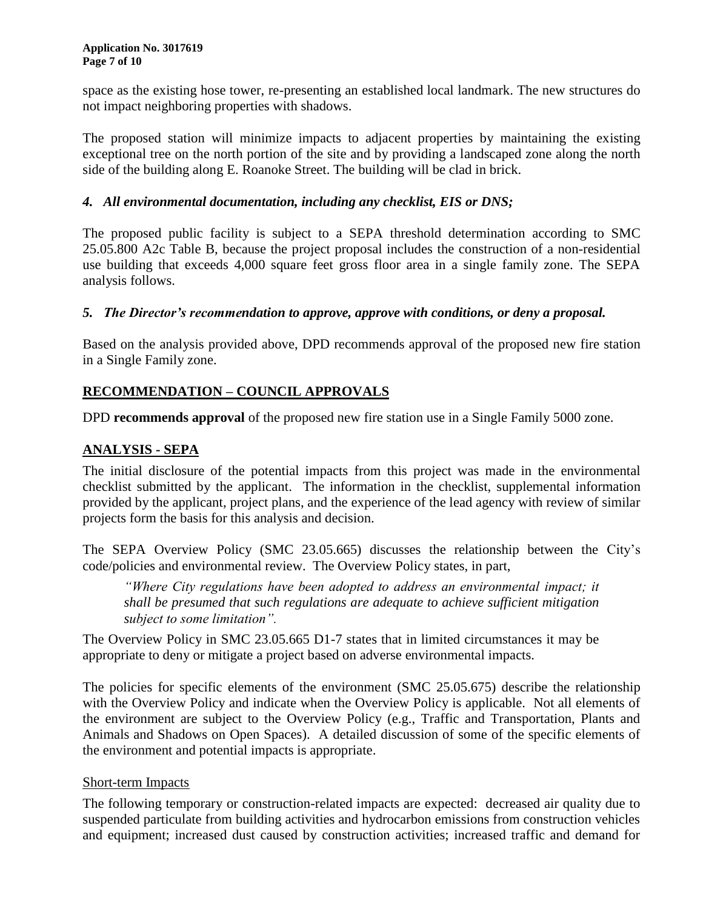space as the existing hose tower, re-presenting an established local landmark. The new structures do not impact neighboring properties with shadows.

The proposed station will minimize impacts to adjacent properties by maintaining the existing exceptional tree on the north portion of the site and by providing a landscaped zone along the north side of the building along E. Roanoke Street. The building will be clad in brick.

## *4. All environmental documentation, including any checklist, EIS or DNS;*

The proposed public facility is subject to a SEPA threshold determination according to SMC 25.05.800 A2c Table B, because the project proposal includes the construction of a non-residential use building that exceeds 4,000 square feet gross floor area in a single family zone. The SEPA analysis follows.

### *5. The Director's recommendation to approve, approve with conditions, or deny a proposal.*

Based on the analysis provided above, DPD recommends approval of the proposed new fire station in a Single Family zone.

## **RECOMMENDATION – COUNCIL APPROVALS**

DPD **recommends approval** of the proposed new fire station use in a Single Family 5000 zone.

## **ANALYSIS - SEPA**

The initial disclosure of the potential impacts from this project was made in the environmental checklist submitted by the applicant. The information in the checklist, supplemental information provided by the applicant, project plans, and the experience of the lead agency with review of similar projects form the basis for this analysis and decision.

The SEPA Overview Policy (SMC 23.05.665) discusses the relationship between the City's code/policies and environmental review. The Overview Policy states, in part,

*"Where City regulations have been adopted to address an environmental impact; it shall be presumed that such regulations are adequate to achieve sufficient mitigation subject to some limitation".*

The Overview Policy in SMC 23.05.665 D1-7 states that in limited circumstances it may be appropriate to deny or mitigate a project based on adverse environmental impacts.

The policies for specific elements of the environment (SMC 25.05.675) describe the relationship with the Overview Policy and indicate when the Overview Policy is applicable. Not all elements of the environment are subject to the Overview Policy (e.g., Traffic and Transportation, Plants and Animals and Shadows on Open Spaces). A detailed discussion of some of the specific elements of the environment and potential impacts is appropriate.

### Short-term Impacts

The following temporary or construction-related impacts are expected: decreased air quality due to suspended particulate from building activities and hydrocarbon emissions from construction vehicles and equipment; increased dust caused by construction activities; increased traffic and demand for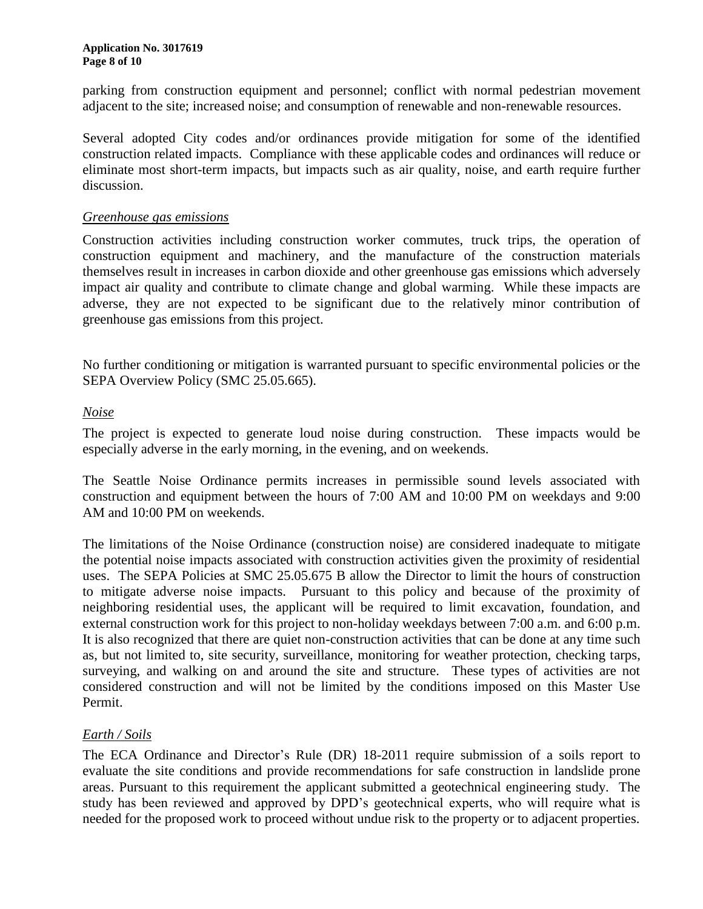#### **Application No. 3017619 Page 8 of 10**

parking from construction equipment and personnel; conflict with normal pedestrian movement adjacent to the site; increased noise; and consumption of renewable and non-renewable resources.

Several adopted City codes and/or ordinances provide mitigation for some of the identified construction related impacts. Compliance with these applicable codes and ordinances will reduce or eliminate most short-term impacts, but impacts such as air quality, noise, and earth require further discussion.

### *Greenhouse gas emissions*

Construction activities including construction worker commutes, truck trips, the operation of construction equipment and machinery, and the manufacture of the construction materials themselves result in increases in carbon dioxide and other greenhouse gas emissions which adversely impact air quality and contribute to climate change and global warming. While these impacts are adverse, they are not expected to be significant due to the relatively minor contribution of greenhouse gas emissions from this project.

No further conditioning or mitigation is warranted pursuant to specific environmental policies or the SEPA Overview Policy (SMC 25.05.665).

### *Noise*

The project is expected to generate loud noise during construction. These impacts would be especially adverse in the early morning, in the evening, and on weekends.

The Seattle Noise Ordinance permits increases in permissible sound levels associated with construction and equipment between the hours of 7:00 AM and 10:00 PM on weekdays and 9:00 AM and 10:00 PM on weekends.

The limitations of the Noise Ordinance (construction noise) are considered inadequate to mitigate the potential noise impacts associated with construction activities given the proximity of residential uses. The SEPA Policies at SMC 25.05.675 B allow the Director to limit the hours of construction to mitigate adverse noise impacts. Pursuant to this policy and because of the proximity of neighboring residential uses, the applicant will be required to limit excavation, foundation, and external construction work for this project to non-holiday weekdays between 7:00 a.m. and 6:00 p.m. It is also recognized that there are quiet non-construction activities that can be done at any time such as, but not limited to, site security, surveillance, monitoring for weather protection, checking tarps, surveying, and walking on and around the site and structure. These types of activities are not considered construction and will not be limited by the conditions imposed on this Master Use Permit.

### *Earth / Soils*

The ECA Ordinance and Director's Rule (DR) 18-2011 require submission of a soils report to evaluate the site conditions and provide recommendations for safe construction in landslide prone areas. Pursuant to this requirement the applicant submitted a geotechnical engineering study. The study has been reviewed and approved by DPD's geotechnical experts, who will require what is needed for the proposed work to proceed without undue risk to the property or to adjacent properties.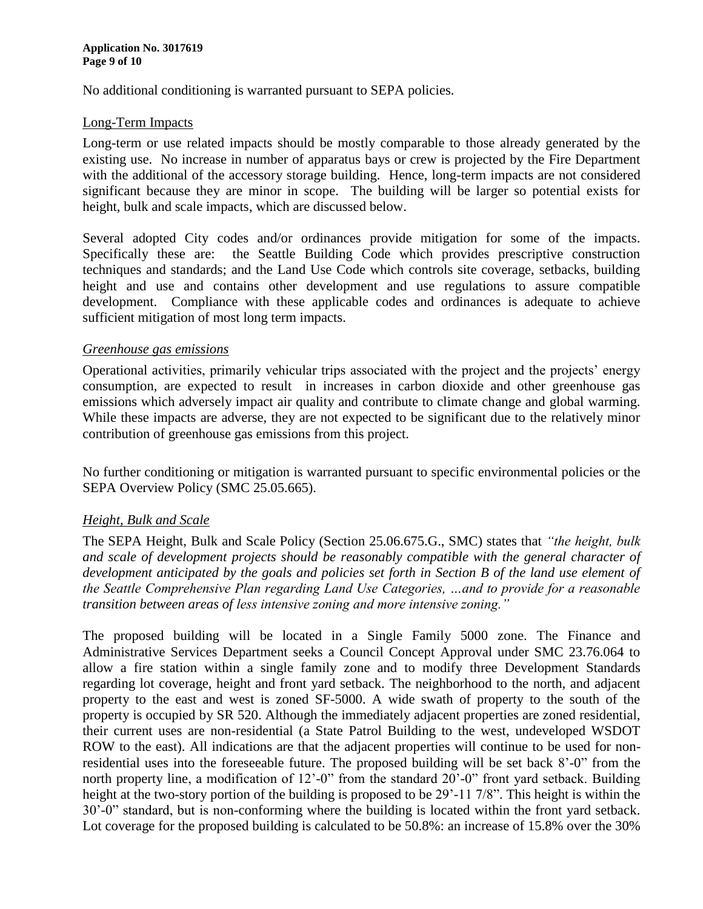No additional conditioning is warranted pursuant to SEPA policies.

### Long-Term Impacts

Long-term or use related impacts should be mostly comparable to those already generated by the existing use. No increase in number of apparatus bays or crew is projected by the Fire Department with the additional of the accessory storage building. Hence, long-term impacts are not considered significant because they are minor in scope. The building will be larger so potential exists for height, bulk and scale impacts, which are discussed below.

Several adopted City codes and/or ordinances provide mitigation for some of the impacts. Specifically these are: the Seattle Building Code which provides prescriptive construction techniques and standards; and the Land Use Code which controls site coverage, setbacks, building height and use and contains other development and use regulations to assure compatible development. Compliance with these applicable codes and ordinances is adequate to achieve sufficient mitigation of most long term impacts.

### *Greenhouse gas emissions*

Operational activities, primarily vehicular trips associated with the project and the projects' energy consumption, are expected to result in increases in carbon dioxide and other greenhouse gas emissions which adversely impact air quality and contribute to climate change and global warming. While these impacts are adverse, they are not expected to be significant due to the relatively minor contribution of greenhouse gas emissions from this project.

No further conditioning or mitigation is warranted pursuant to specific environmental policies or the SEPA Overview Policy (SMC 25.05.665).

### *Height, Bulk and Scale*

The SEPA Height, Bulk and Scale Policy (Section 25.06.675.G., SMC) states that *"the height, bulk and scale of development projects should be reasonably compatible with the general character of development anticipated by the goals and policies set forth in Section B of the land use element of the Seattle Comprehensive Plan regarding Land Use Categories, …and to provide for a reasonable transition between areas of less intensive zoning and more intensive zoning."*

The proposed building will be located in a Single Family 5000 zone. The Finance and Administrative Services Department seeks a Council Concept Approval under SMC 23.76.064 to allow a fire station within a single family zone and to modify three Development Standards regarding lot coverage, height and front yard setback. The neighborhood to the north, and adjacent property to the east and west is zoned SF-5000. A wide swath of property to the south of the property is occupied by SR 520. Although the immediately adjacent properties are zoned residential, their current uses are non-residential (a State Patrol Building to the west, undeveloped WSDOT ROW to the east). All indications are that the adjacent properties will continue to be used for nonresidential uses into the foreseeable future. The proposed building will be set back 8'-0" from the north property line, a modification of 12'-0" from the standard 20'-0" front yard setback. Building height at the two-story portion of the building is proposed to be 29'-11 7/8". This height is within the 30'-0" standard, but is non-conforming where the building is located within the front yard setback. Lot coverage for the proposed building is calculated to be 50.8%: an increase of 15.8% over the 30%